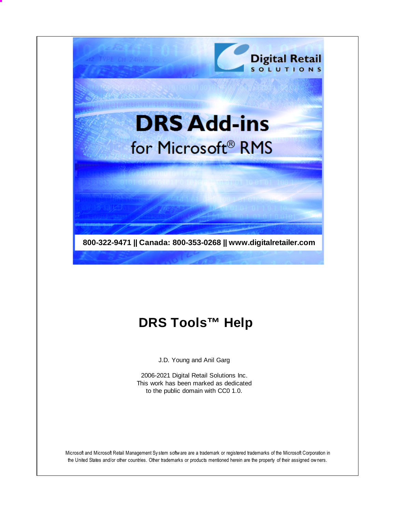

# **DRS Tools™ Help**

J.D. Young and Anil Garg

2006-2021 Digital Retail Solutions Inc. This work has been marked as dedicated to the public domain with CC0 1.0.

Microsoft and Microsoft Retail Management Sy stem software are a trademark or registered trademarks of the Microsoft Corporation in the United States and/or other countries. Other trademarks or products mentioned herein are the property of their assigned owners.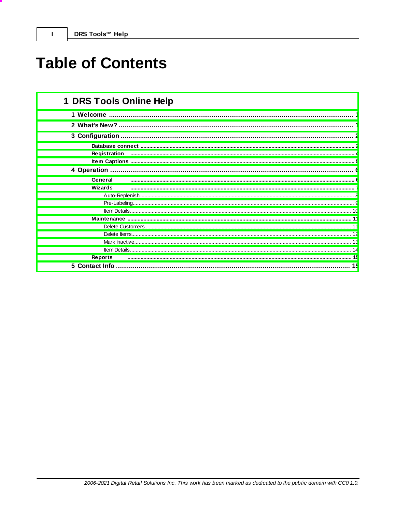# **Table of Contents**

| 1 DRS Tools Online Help |
|-------------------------|
|                         |
|                         |
| 3 Configuration         |
|                         |
| Registration            |
|                         |
| 4 Operation             |
| General                 |
| Wizards                 |
|                         |
|                         |
|                         |
|                         |
|                         |
|                         |
|                         |
|                         |
| <b>Reports</b>          |
| 5 Contact Info<br>15    |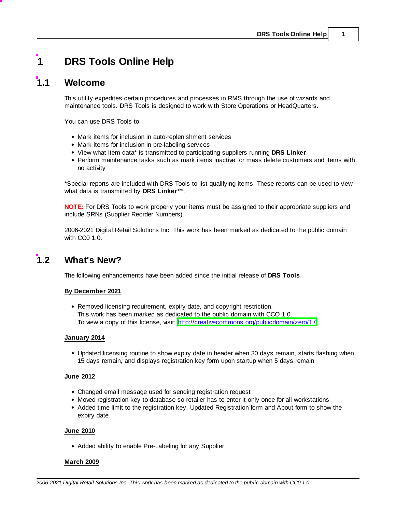## <span id="page-2-0"></span>**1 DRS Tools Online Help**

## **1.1 Welcome**

This utility expedites certain procedures and processes in RMS through the use of wizards and maintenance tools. DRS Tools is designed to work with Store Operations or HeadQuarters.

You can use DRS Tools to:

- Mark items for inclusion in auto-replenishment services
- Mark items for inclusion in pre-labeling services
- View what item data\* is transmitted to participating suppliers running **DRS Linker**
- Perform maintenance tasks such as mark items inactive, or mass delete customers and items with no activity

\*Special reports are included with DRS Tools to list qualifying items. These reports can be used to view what data is transmitted by **DRS Linker™**.

**NOTE:** For DRS Tools to work properly your items must be assigned to their appropriate suppliers and include SRNs (Supplier Reorder Numbers).

2006-2021 Digital Retail Solutions Inc. This work has been marked as dedicated to the public domain with CC0 1.0.

## <span id="page-2-1"></span>**1.2 What's New?**

The following enhancements have been added since the initial release of **DRS Tools**.

#### **By December 2021**

Removed licensing requirement, expiry date, and copyright restriction. This work has been marked as dedicated to the public domain with CCO 1.0. To view a copy of this license, visit: <http://creativecommons.org/publicdomain/zero/1.0>

#### **January 2014**

Updated licensing routine to show expiry date in header when 30 days remain, starts flashing when 15 days remain, and displays registration key form upon startup when 5 days remain

#### **June 2012**

- Changed email message used for sending registration request
- Moved registration key to database so retailer has to enter it only once for all workstations
- Added time limit to the registration key. Updated Registration form and About form to show the expiry date

#### **June 2010**

• Added ability to enable Pre-Labeling for any Supplier

#### **March 2009**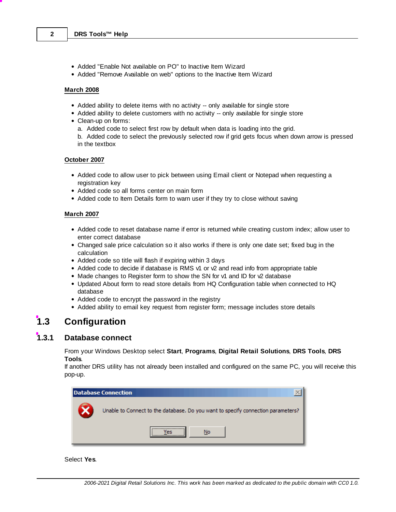- Added "Enable Not available on PO" to Inactive Item Wizard
- Added "Remove Available on web" options to the Inactive Item Wizard

#### **March 2008**

- Added ability to delete items with no activity -- only available for single store
- Added ability to delete customers with no activity -- only available for single store
- Clean-up on forms:
	- a. Added code to select first row by default when data is loading into the grid.
	- b. Added code to select the previously selected row if grid gets focus when down arrow is pressed in the textbox

#### **October 2007**

- Added code to allow user to pick between using Email client or Notepad when requesting a registration key
- Added code so all forms center on main form
- Added code to Item Details form to warn user if they try to close without saving

#### **March 2007**

- Added code to reset database name if error is returned while creating custom index; allow user to enter correct database
- Changed sale price calculation so it also works if there is only one date set; fixed bug in the calculation
- Added code so title will flash if expiring within 3 days
- Added code to decide if database is RMS  $\vee$ 1 or  $\vee$ 2 and read info from appropriate table
- $\bullet$  Made changes to Register form to show the SN for  $\vee$ 1 and ID for  $\vee$ 2 database
- Updated About form to read store details from HQ Configuration table when connected to HQ database
- Added code to encrypt the password in the registry
- Added ability to email key request from register form; message includes store details

## <span id="page-3-0"></span>**1.3 Configuration**

#### **1.3.1 Database connect**

From your Windows Desktop select **Start**, **Programs**, **Digital Retail Solutions**, **DRS Tools**, **DRS Tools**.

If another DRS utility has not already been installed and configured on the same PC, you will receive this pop-up.



#### Select **Yes**.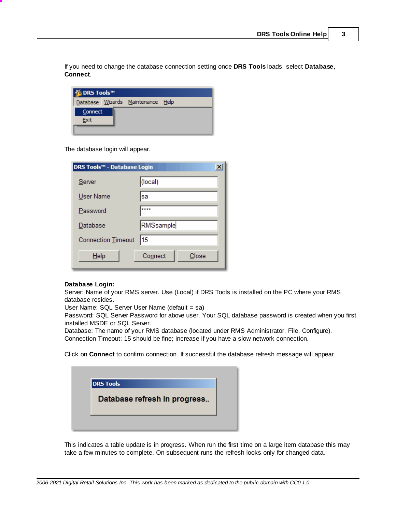If you need to change the database connection setting once **DRS Tools** loads, select **Database**, **Connect**.

| © DRS Tools™    |  |                                   |  |  |  |  |  |  |  |  |
|-----------------|--|-----------------------------------|--|--|--|--|--|--|--|--|
|                 |  | Database Wizards Maintenance Help |  |  |  |  |  |  |  |  |
| Connect<br>Exit |  |                                   |  |  |  |  |  |  |  |  |
|                 |  |                                   |  |  |  |  |  |  |  |  |

The database login will appear.

| DRS Tools™ - Database Login | ×                |
|-----------------------------|------------------|
| Server                      | (local)          |
| User Name                   | sa               |
| Password                    | ****             |
| Database                    | RMSsample        |
| Connection Timeout          | 15               |
| Help                        | Connect<br>Close |

#### **Database Login:**

Server: Name of your RMS server. Use (Local) if DRS Tools is installed on the PC where your RMS database resides.

User Name: SQL Server User Name (default = sa)

Password: SQL Server Password for above user. Your SQL database password is created when you first installed MSDE or SQL Server.

Database: The name of your RMS database (located under RMS Administrator, File, Configure). Connection Timeout: 15 should be fine; increase if you have a slow network connection.

Click on **Connect** to confirm connection. If successful the database refresh message will appear.

| <b>DRS Tools</b>             |  |
|------------------------------|--|
| Database refresh in progress |  |
|                              |  |

This indicates a table update is in progress. When run the first time on a large item database this may take a few minutes to complete. On subsequent runs the refresh looks only for changed data.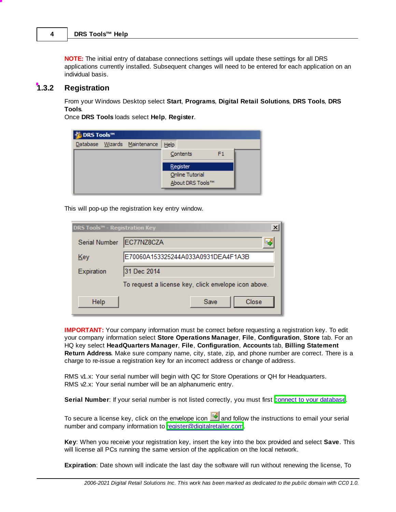**NOTE:** The initial entry of database connections settings will update these settings for all DRS applications currently installed. Subsequent changes will need to be entered for each application on an individual basis.

#### <span id="page-5-0"></span>**1.3.2 Registration**

From your Windows Desktop select **Start**, **Programs**, **Digital Retail Solutions**, **DRS Tools**, **DRS Tools**.

Once **DRS Tools** loads select **Help**, **Register**.

| © DRS Tools™ |  |                              |      |                  |                |  |  |  |  |
|--------------|--|------------------------------|------|------------------|----------------|--|--|--|--|
|              |  | Database Wizards Maintenance | Help |                  |                |  |  |  |  |
|              |  |                              |      | Contents         | F <sub>1</sub> |  |  |  |  |
|              |  |                              |      | Register         |                |  |  |  |  |
|              |  |                              |      | Online Tutorial  |                |  |  |  |  |
|              |  |                              |      | About DRS Tools™ |                |  |  |  |  |
|              |  |                              |      |                  |                |  |  |  |  |

This will pop-up the registration key entry window.

| <b>DRS Tools™ - Registration Key</b> | $\times$                                             |
|--------------------------------------|------------------------------------------------------|
| Serial Number                        | EC77NZ8CZA<br>١.                                     |
| Key                                  | E70060A153325244A033A0931DEA4F1A3B                   |
| Expiration                           | 31 Dec 2014                                          |
|                                      | To request a license key, click envelope icon above. |
| Help                                 | Close<br>Save                                        |

**IMPORTANT:** Your company information must be correct before requesting a registration key. To edit your company information select **Store Operations Manager**, **File**, **Configuration**, **Store** tab. For an HQ key select **HeadQuarters Manager**, **File**, **Configuration**, **Accounts** tab, **Billing Statement Return Address**. Make sure company name, city, state, zip, and phone number are correct. There is a charge to re-issue a registration key for an incorrect address or change of address.

RMS v1.x: Your serial number will begin with QC for Store Operations or QH for Headquarters. RMS  $\sqrt{2}$ .x: Your serial number will be an alphanumeric entry.

Serial Number: If your serial number is not listed correctly, you must first connect to your [database.](#page-3-0)

To secure a license key, click on the envelope icon **and follow** the instructions to email your serial number and company information to [register@digitalretailer.com.](mailto:register@digitalretailer.com)

**Key**: When you receive your registration key, insert the key into the box provided and select **Save**. This will license all PCs running the same version of the application on the local network.

**Expiration**: Date shown will indicate the last day the software will run without renewing the license, To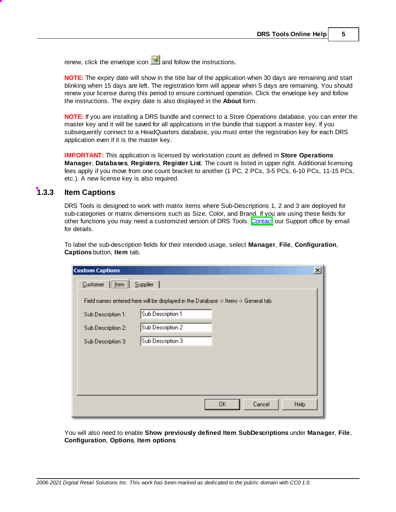renew, click the envelope icon  $\Box$  and follow the instructions.

**NOTE:** The expiry date will show in the title bar of the application when 30 days are remaining and start blinking when 15 days are left. The registration form will appear when 5 days are remaining. You should renew your license during this period to ensure continued operation. Click the envelope key and follow the instructions. The expiry date is also displayed in the **About** form.

**NOTE:** If you are installing a DRS bundle and connect to a Store Operations database, you can enter the master key and it will be saved for all applications in the bundle that support a master key. If you subsequently connect to a HeadQuarters database, you must enter the registration key for each DRS application even if it is the master key.

**IMPORTANT:** This application is licensed by workstation count as defined in **Store Operations Manager**, **Databases**, **Registers**, **Register List**. The count is listed in upper right. Additional licensing fees apply if you move from one count bracket to another (1 PC, 2 PCs, 3-5 PCs, 6-10 PCs, 11-15 PCs, etc.). A new license key is also required.

#### <span id="page-6-0"></span>**1.3.3 Item Captions**

DRS Tools is designed to work with matrix items where Sub-Descriptions 1, 2 and 3 are deployed for sub-categories or matrix dimensions such as Size, Color, and Brand. If you are using these fields for other functions you may need a customized version of DRS Tools. [Contact](#page-16-1)our Support office by email for details.

To label the sub-description fields for their intended usage, select **Manager**, **File**, **Configuration**, **Captions** button, **Item** tab.

| <b>Custom Captions</b>                                                              | $\vert x \vert$ |
|-------------------------------------------------------------------------------------|-----------------|
| $\sqrt{\text{Item}}$<br>Supplier<br>Customer                                        |                 |
| Field names entered here will be displayed in the Database -> Items -> General tab. |                 |
| Sub Description 1<br>Sub Description 1:                                             |                 |
| Sub Description 2<br>Sub Description 2:                                             |                 |
| Sub Description 3<br>Sub Description 3:                                             |                 |
|                                                                                     |                 |
|                                                                                     |                 |
|                                                                                     |                 |
| 0K<br>Cancel                                                                        | Help            |
|                                                                                     |                 |

You will also need to enable **Show previously defined Item SubDescriptions** under **Manager**, **File**, **Configuration**, **Options**, **Item options**.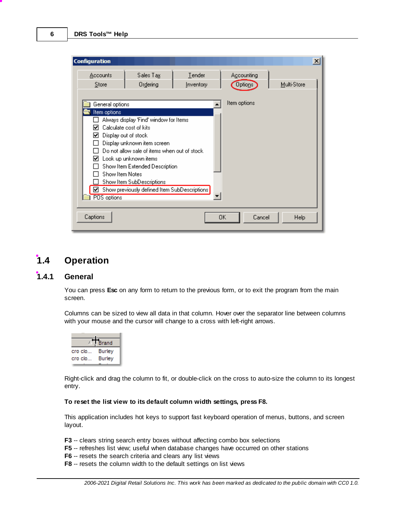| <b>Configuration</b>                                                                           |                                                                                                                                                                                                                                                                                         |                     |    |                              |             | $\boldsymbol{\mathsf{x}}$ |
|------------------------------------------------------------------------------------------------|-----------------------------------------------------------------------------------------------------------------------------------------------------------------------------------------------------------------------------------------------------------------------------------------|---------------------|----|------------------------------|-------------|---------------------------|
| <b>Accounts</b><br>Store                                                                       | Sales Tax<br>Ordering                                                                                                                                                                                                                                                                   | Tender<br>Inventory |    | Accounting<br><b>Options</b> | Multi-Store |                           |
| General options<br>Item options<br>Display out of stock<br>ы<br>Show Item Notes<br>POS options | Always display 'Find' window for Items<br>Calculate cost of kits<br>Display unknown item screen<br>Do not allow sale of items when out of stock<br>Look up unknown items<br>Show Item Extended Description<br>Show Item SubDescriptions<br>Show previously defined Item SubDescriptions |                     |    | Item options                 |             |                           |
| Captions                                                                                       |                                                                                                                                                                                                                                                                                         |                     | OΚ | Cancel                       | Help        |                           |

## <span id="page-7-0"></span>**1.4 Operation**

## **1.4.1 General**

You can press **Esc** on any form to return to the previous form, or to exit the program from the main screen.

Columns can be sized to view all data in that column. Hover over the separator line between columns with your mouse and the cursor will change to a cross with left-right arrows.



Right-click and drag the column to fit, or double-click on the cross to auto-size the column to its longest entry.

#### **To reset the list view to its default column width settings, press F8.**

This application includes hot keys to support fast keyboard operation of menus, buttons, and screen layout.

- **F3** -- clears string search entry boxes without affecting combo box selections
- **F5** -- refreshes list view; useful when database changes have occurred on other stations
- **F6** -- resets the search criteria and clears any list views
- **F8** -- resets the column width to the default settings on list views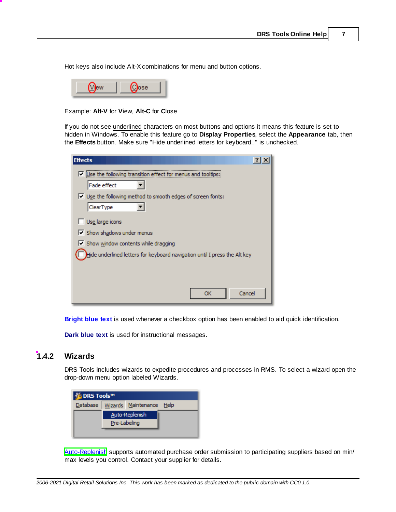Hot keys also include Alt-X combinations for menu and button options.

|--|--|

Example: **Alt-V** for **V**iew, **Alt-C** for **C**lose

If you do not see underlined characters on most buttons and options it means this feature is set to hidden in Windows. To enable this feature go to **Display Properties**, select the **Appearance** tab, then the **Effects** button. Make sure "Hide underlined letters for keyboard.." is unchecked.

| <b>Effects</b>                                                              |
|-----------------------------------------------------------------------------|
| $\triangledown$ Use the following transition effect for menus and tooltips: |
| Fade effect                                                                 |
| $\triangledown$ Use the following method to smooth edges of screen fonts:   |
| ClearType                                                                   |
| Use large icons                                                             |
| Show shadows under menus                                                    |
| Show window contents while dragging                                         |
| Hide underlined letters for keyboard navigation until I press the Alt key   |
|                                                                             |
|                                                                             |
| Cancel<br>ОК                                                                |

**Bright blue text** is used whenever a checkbox option has been enabled to aid quick identification.

**Dark blue text** is used for instructional messages.

#### <span id="page-8-0"></span>**1.4.2 Wizards**

DRS Tools includes wizards to expedite procedures and processes in RMS. To select a wizard open the drop-down menu option labeled Wizards.

| C DRS Tools™ |              |                          |  |
|--------------|--------------|--------------------------|--|
| Database     |              | Wizards Maintenance Help |  |
|              |              | Auto-Replenish           |  |
|              | Pre-Labeling |                          |  |
|              |              |                          |  |

[Auto-Replenish](#page-9-0) supports automated purchase order submission to participating suppliers based on min/ max levels you control. Contact your supplier for details.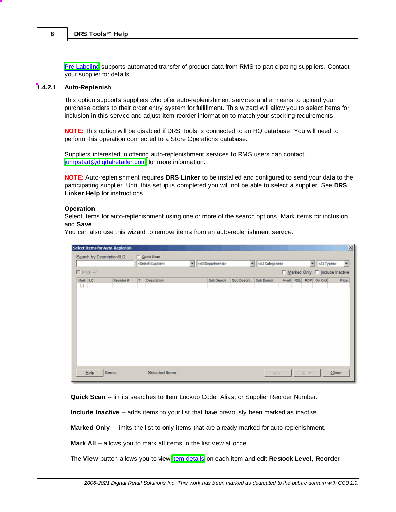[Pre-Labeling](#page-10-0) supports automated transfer of product data from RMS to participating suppliers. Contact your supplier for details.

#### <span id="page-9-0"></span>**1.4.2.1 Auto-Replenish**

This option supports suppliers who offer auto-replenishment services and a means to upload your purchase orders to their order entry system for fulfillment. This wizard will allow you to select items for inclusion in this service and adjust item reorder information to match your stocking requirements.

**NOTE:** This option will be disabled if DRS Tools is connected to an HQ database. You will need to perform this operation connected to a Store Operations database.

Suppliers interested in offering auto-replenishment services to RMS users can contact [jumpstart@digitalretailer.com](mailto:jumpstart@digitalretailer.com) for more information.

**NOTE:** Auto-replenishment requires **DRS Linker** to be installed and configured to send your data to the participating supplier. Until this setup is completed you will not be able to select a supplier. See **DRS Linker Help** for instructions.

#### **Operation**:

Select items for auto-replenishment using one or more of the search options. Mark items for inclusion and **Save**.

You can also use this wizard to remove items from an auto-replenishment service.

|          |                            | <b>Select Items for Auto-Replenish</b> |   |                                                                |  |                             |            |            |       |                              |            |        | 図                                |
|----------|----------------------------|----------------------------------------|---|----------------------------------------------------------------|--|-----------------------------|------------|------------|-------|------------------------------|------------|--------|----------------------------------|
|          | Search by Description/ILC: |                                        |   | □ Quick Scan                                                   |  |                             |            |            |       |                              |            |        |                                  |
|          |                            |                                        |   | v <all departments=""><br/><select supplier=""></select></all> |  | v <all categories=""></all> |            |            |       | v <all types=""><br/>z</all> |            |        |                                  |
|          | □ Mark All                 |                                        |   |                                                                |  |                             |            |            |       |                              |            |        | □ Marked Only □ Include Inactive |
| Mark ILC |                            | Reorder#                               | т | <b>Description</b>                                             |  | Sub Descri                  | Sub Descri | Sub Descri | Avail | <b>RSL</b>                   | <b>ROP</b> | On Ord | Price                            |
| $\Box$   |                            |                                        |   |                                                                |  |                             |            |            |       |                              |            |        |                                  |
|          | Help                       | Items:                                 |   | Selected Items:                                                |  |                             |            |            | Save  |                              | View       |        | Close                            |

**Quick Scan** -- limits searches to Item Lookup Code, Alias, or Supplier Reorder Number.

**Include Inactive** -- adds items to your list that have previously been marked as inactive.

**Marked Only** -- limits the list to only items that are already marked for auto-replenishment.

**Mark All** -- allows you to mark all items in the list view at once.

The View button allows you to view item [details](#page-11-0) on each item and edit Restock Level, Reorder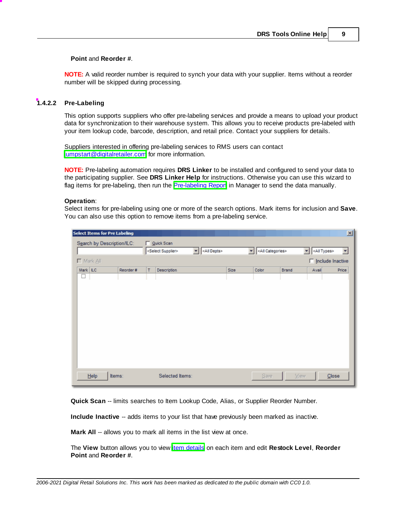#### **Point** and **Reorder #**.

**NOTE:** A valid reorder number is required to synch your data with your supplier. Items without a reorder number will be skipped during processing.

#### <span id="page-10-0"></span>**1.4.2.2 Pre-Labeling**

This option supports suppliers who offer pre-labeling services and provide a means to upload your product data for synchronization to their warehouse system. This allows you to receive products pre-labeled with your item lookup code, barcode, description, and retail price. Contact your suppliers for details.

Suppliers interested in offering pre-labeling services to RMS users can contact [jumpstart@digitalretailer.com](mailto:jumpstart@digitalretailer.com) for more information.

**NOTE:** Pre-labeling automation requires **DRS Linker** to be installed and configured to send your data to the participating supplier. See **DRS Linker Help** for instructions. Otherwise you can use this wizard to flag items for pre-labeling, then run the [Pre-labeling](#page-16-0) Report in Manager to send the data manually.

#### **Operation**:

Select items for pre-labeling using one or more of the search options. Mark items for inclusion and **Save**. You can also use this option to remove items from a pre-labeling service.

|                            |   | <b>Select Items for Pre Labeling</b> |                    |            |                                                              |       |                           |             |                           | 図     |  |
|----------------------------|---|--------------------------------------|--------------------|------------|--------------------------------------------------------------|-------|---------------------------|-------------|---------------------------|-------|--|
| Search by Description/ILC: |   |                                      |                    | Quick Scan |                                                              |       |                           |             |                           |       |  |
|                            |   |                                      |                    |            | ∼⊞<br><all depts=""><br/><select supplier=""></select></all> |       | <all categories=""></all> |             | ▼<br><all types=""></all> | ≖     |  |
|                            |   | $\Box$ Mark $\triangle$              |                    |            |                                                              |       |                           |             | $\Box$ Include Inactive   |       |  |
| Mark ILC<br>Reorder #      |   | т                                    | <b>Description</b> | Size       | Color                                                        | Brand | Avail                     | Price       |                           |       |  |
|                            | ப |                                      |                    |            |                                                              |       |                           |             |                           |       |  |
|                            |   |                                      |                    |            |                                                              |       |                           |             |                           |       |  |
|                            |   |                                      |                    |            |                                                              |       |                           |             |                           |       |  |
|                            |   |                                      |                    |            |                                                              |       |                           |             |                           |       |  |
|                            |   |                                      |                    |            |                                                              |       |                           |             |                           |       |  |
|                            |   |                                      |                    |            |                                                              |       |                           |             |                           |       |  |
|                            |   |                                      |                    |            |                                                              |       |                           |             |                           |       |  |
|                            |   |                                      |                    |            |                                                              |       |                           |             |                           |       |  |
|                            |   |                                      |                    |            |                                                              |       |                           |             |                           |       |  |
|                            |   |                                      |                    |            |                                                              |       |                           |             |                           |       |  |
|                            |   |                                      |                    |            |                                                              |       |                           |             |                           |       |  |
|                            |   | Help<br>Items:                       |                    |            | Selected Items:                                              |       | Save                      | <b>View</b> |                           | Close |  |
|                            |   |                                      |                    |            |                                                              |       |                           |             |                           |       |  |

**Quick Scan** -- limits searches to Item Lookup Code, Alias, or Supplier Reorder Number.

**Include Inactive** -- adds items to your list that have previously been marked as inactive.

**Mark All** -- allows you to mark all items in the list view at once.

The View button allows you to view item [details](#page-11-0) on each item and edit Restock Level, Reorder **Point** and **Reorder #**.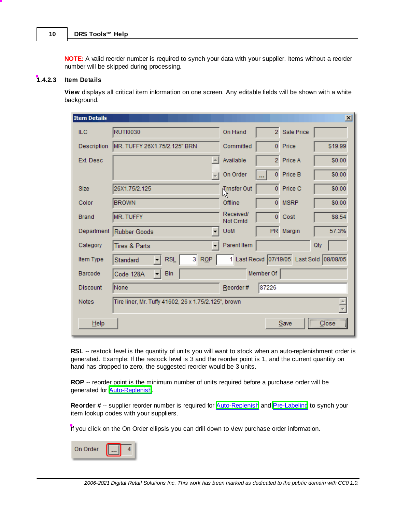**NOTE:** A valid reorder number is required to synch your data with your supplier. Items without a reorder number will be skipped during processing.

#### <span id="page-11-0"></span>**1.4.2.3 Item Details**

**View** displays all critical item information on one screen. Any editable fields will be shown with a white background.

| <b>Item Details</b> |                                                      |                       |                |             | $\vert x \vert$                          |
|---------------------|------------------------------------------------------|-----------------------|----------------|-------------|------------------------------------------|
| <b>ILC</b>          | <b>RUTI0030</b>                                      | On Hand               | $\overline{2}$ | Sale Price  |                                          |
| Description         | MR. TUFFY 26X1.75/2.125" BRN                         | Committed             | $\overline{0}$ | Price       | \$19.99                                  |
| Ext. Desc.          | 人                                                    | Available             | $\overline{2}$ | Price A     | \$0.00                                   |
|                     |                                                      | On Order              | $\mathbf 0$    | Price B     | \$0.00                                   |
| <b>Size</b>         | 26X1.75/2.125                                        | Trnsfer Out           | $\overline{0}$ | Price C     | \$0.00                                   |
| Color               | <b>BROWN</b>                                         | Offline               | $\overline{0}$ | <b>MSRP</b> | \$0.00                                   |
| <b>Brand</b>        | <b>MR. TUFFY</b>                                     | Received/<br>Not Cmtd | $\mathbf{0}$   | Cost        | \$8.54                                   |
| Department          | <b>Rubber Goods</b>                                  | <b>UoM</b>            | PR             | Margin      | 57.3%                                    |
| Category            | Tires & Parts                                        | Parent Item           |                |             | Qty                                      |
| Item Type           | 3 <sup>1</sup><br>RQP<br><b>RSL</b><br>Standard      |                       |                |             | 1 Last Recvd 07/19/05 Last Sold 08/08/05 |
| Barcode             | <b>Bin</b><br>Code 128A<br>▾╎                        |                       | Member Of      |             |                                          |
| <b>Discount</b>     | None                                                 | Reorder#              | 87226          |             |                                          |
| <b>Notes</b>        | Tire liner, Mr. Tuffy 41602, 26 x 1.75/2.125", brown |                       |                |             |                                          |
| Help                |                                                      |                       |                | Save        | $\overline{\text{Close}}$                |

**RSL** -- restock level is the quantity of units you will want to stock when an auto-replenishment order is generated. Example: If the restock level is 3 and the reorder point is 1, and the current quantity on hand has dropped to zero, the suggested reorder would be 3 units.

**ROP** -- reorder point is the minimum number of units required before a purchase order will be generated for **Auto-Replenish**.

**Reorder #** -- supplier reorder number is required for **[Auto-Replenish](#page-9-0)** and **[Pre-Labeling](#page-10-0)** to synch your item lookup codes with your suppliers.

If you click on the On Order ellipsis you can drill down to view purchase order information.

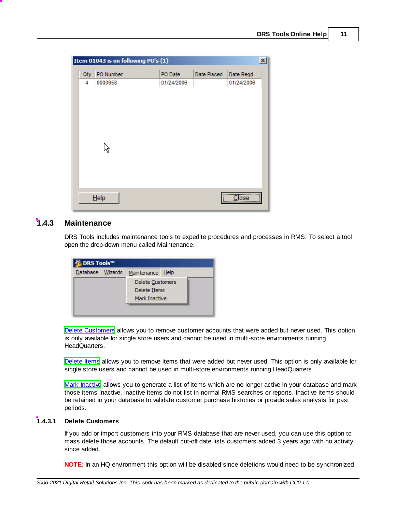|     | Item 01043 is on following PO's (1) |            |             |                                      |
|-----|-------------------------------------|------------|-------------|--------------------------------------|
| Qty | PO Number                           | PO Date    | Date Placed | Date Regd.                           |
| 4   | 0000958                             | 01/24/2006 |             | 01/24/2006                           |
|     |                                     |            |             |                                      |
|     |                                     |            |             |                                      |
|     |                                     |            |             |                                      |
|     |                                     |            |             |                                      |
|     |                                     |            |             |                                      |
|     |                                     |            |             |                                      |
|     |                                     |            |             |                                      |
|     |                                     |            |             |                                      |
|     |                                     |            |             |                                      |
|     |                                     |            |             |                                      |
|     | Help                                |            |             | $\overline{\overline{\text{Close}}}$ |

#### <span id="page-12-0"></span>**1.4.3 Maintenance**

DRS Tools includes maintenance tools to expedite procedures and processes in RMS. To select a tool open the drop-down menu called Maintenance.

| © DRS Tools™     |  |                  |  |  |  |  |  |  |  |
|------------------|--|------------------|--|--|--|--|--|--|--|
| Database Wizards |  | Maintenance Help |  |  |  |  |  |  |  |
|                  |  | Delete Customers |  |  |  |  |  |  |  |
|                  |  | Delete Items     |  |  |  |  |  |  |  |
|                  |  | Mark Inactive    |  |  |  |  |  |  |  |
|                  |  |                  |  |  |  |  |  |  |  |

Delete [Customers](#page-12-1) allows you to remove customer accounts that were added but never used. This option is only available for single store users and cannot be used in multi-store environments running HeadQuarters.

[Delete](#page-13-0) Items allows you to remove items that were added but never used. This option is only available for single store users and cannot be used in multi-store environments running HeadQuarters.

Mark [Inactive](#page-14-0) allows you to generate a list of items which are no longer active in your database and mark those items inactive. Inactive items do not list in normal RMS searches or reports. Inactive items should be retained in your database to validate customer purchase histories or provide sales analysis for past periods.

#### <span id="page-12-1"></span>**1.4.3.1 Delete Customers**

If you add or import customers into your RMS database that are never used, you can use this option to mass delete those accounts. The default cut-off date lists customers added 3 years ago with no activity since added.

**NOTE:** In an HQ environment this option will be disabled since deletions would need to be synchronized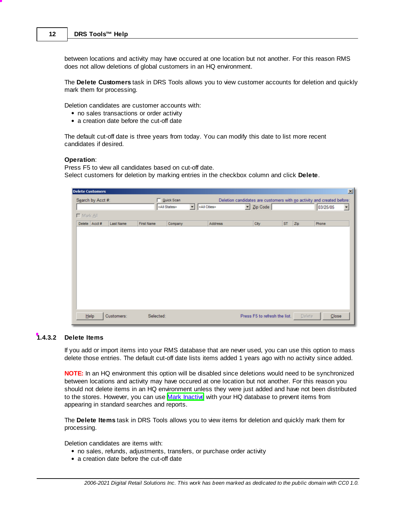between locations and activity may have occured at one location but not another. For this reason RMS does not allow deletions of global customers in an HQ environment.

The **Delete Customers** task in DRS Tools allows you to view customer accounts for deletion and quickly mark them for processing.

Deletion candidates are customer accounts with:

- no sales transactions or order activity
- a creation date before the cut-off date

The default cut-off date is three years from today. You can modify this date to list more recent candidates if desired.

#### **Operation**:

Press F5 to view all candidates based on cut-off date. Select customers for deletion by marking entries in the checkbox column and click **Delete**.

| <b>Delete Customers</b> |                  |            |                       |                          |                       |                                                                        |                               |           |     |          | 페     |
|-------------------------|------------------|------------|-----------------------|--------------------------|-----------------------|------------------------------------------------------------------------|-------------------------------|-----------|-----|----------|-------|
| Search by Acct #:       |                  |            | Quick Scan            |                          |                       | Deletion candidates are customers with no activity and created before: |                               |           |     |          |       |
|                         |                  |            | <all states=""></all> | $\overline{\phantom{a}}$ | <all cities=""></all> |                                                                        | $\blacksquare$ Zip Code       |           |     | 03/25/05 | ≖     |
| □ Mark All              |                  |            |                       |                          |                       |                                                                        |                               |           |     |          |       |
| Delete Acct#            | <b>Last Name</b> | First Name | Company               |                          | Address               |                                                                        | City                          | <b>ST</b> | Zip | Phone    |       |
|                         |                  |            |                       |                          |                       |                                                                        |                               |           |     |          |       |
|                         |                  |            |                       |                          |                       |                                                                        |                               |           |     |          |       |
|                         |                  |            |                       |                          |                       |                                                                        |                               |           |     |          |       |
|                         |                  |            |                       |                          |                       |                                                                        |                               |           |     |          |       |
|                         |                  |            |                       |                          |                       |                                                                        |                               |           |     |          |       |
|                         |                  |            |                       |                          |                       |                                                                        |                               |           |     |          |       |
|                         |                  |            |                       |                          |                       |                                                                        |                               |           |     |          |       |
|                         |                  |            |                       |                          |                       |                                                                        |                               |           |     |          |       |
|                         |                  |            |                       |                          |                       |                                                                        |                               |           |     |          |       |
|                         |                  |            |                       |                          |                       |                                                                        |                               |           |     |          |       |
|                         |                  |            |                       |                          |                       |                                                                        |                               |           |     |          |       |
| Help                    | Customers:       |            | Selected:             |                          |                       |                                                                        | Press F5 to refresh the list. |           |     | Delete   | Close |
|                         |                  |            |                       |                          |                       |                                                                        |                               |           |     |          |       |

#### <span id="page-13-0"></span>**1.4.3.2 Delete Items**

If you add or import items into your RMS database that are never used, you can use this option to mass delete those entries. The default cut-off date lists items added 1 years ago with no activity since added.

**NOTE:** In an HQ environment this option will be disabled since deletions would need to be synchronized between locations and activity may have occured at one location but not another. For this reason you should not delete items in an HQ environment unless they were just added and have not been distributed to the stores. However, you can use Mark [Inactive](#page-14-0) with your HQ database to prevent items from appearing in standard searches and reports.

The **Delete Items** task in DRS Tools allows you to view items for deletion and quickly mark them for processing.

Deletion candidates are items with:

- no sales, refunds, adjustments, transfers, or purchase order activity
- a creation date before the cut-off date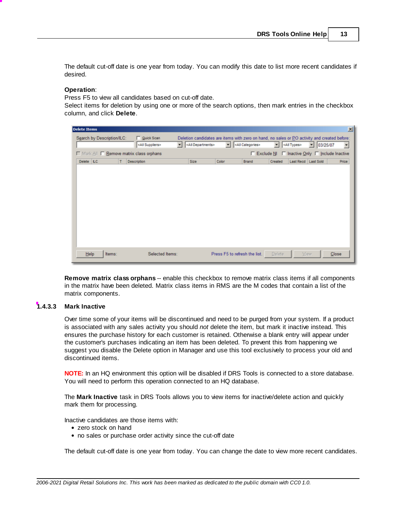The default cut-off date is one year from today. You can modify this date to list more recent candidates if desired.

#### **Operation**:

Press F5 to view all candidates based on cut-off date.

Select items for deletion by using one or more of the search options, then mark entries in the checkbox column, and click **Delete**.

| <b>Delete Items</b>                      |                                                                             |                                                                                                                                 |                        | <b>x</b>                                        |
|------------------------------------------|-----------------------------------------------------------------------------|---------------------------------------------------------------------------------------------------------------------------------|------------------------|-------------------------------------------------|
| Search by Description/ILC:               | Quick Scan<br><all departments=""><br/>회<br/><all suppliers=""></all></all> | Deletion candidates are items with zero on hand, no sales or PO activity and created before:<br><all categories=""><br/>≂</all> | - <all types=""></all> | 103/25/07<br>$\overline{ }$                     |
| □ Mark All □ Remove matrix class orphans |                                                                             |                                                                                                                                 |                        | □ Exclude NI □ Inactive Only □ Include Inactive |
| Delete LC<br><b>Description</b><br>т     | Size                                                                        | Color<br>Brand                                                                                                                  | Created                | Last Recd Last Sold<br>Price                    |
|                                          |                                                                             |                                                                                                                                 |                        |                                                 |
| Items:<br>Help                           | Selected Items:                                                             | Press F5 to refresh the list.                                                                                                   | Delete                 | Close<br>Улем                                   |

**Remove matrix class orphans** -- enable this checkbox to remove matrix class items if all components in the matrix have been deleted. Matrix class items in RMS are the M codes that contain a list of the matrix components.

#### <span id="page-14-0"></span>**1.4.3.3 Mark Inactive**

Over time some of your items will be discontinued and need to be purged from your system. If a product is associated with any sales activity you should *not* delete the item, but mark it inactive instead. This ensures the purchase history for each customer is retained. Otherwise a blank entry will appear under the customer's purchases indicating an item has been deleted. To prevent this from happening we suggest you disable the Delete option in Manager and use this tool exclusively to process your old and discontinued items.

**NOTE:** In an HQ environment this option will be disabled if DRS Tools is connected to a store database. You will need to perform this operation connected to an HQ database.

The **Mark Inactive** task in DRS Tools allows you to view items for inactive/delete action and quickly mark them for processing.

Inactive candidates are those items with:

- zero stock on hand
- no sales or purchase order activity since the cut-off date

The default cut-off date is one year from today. You can change the date to view more recent candidates.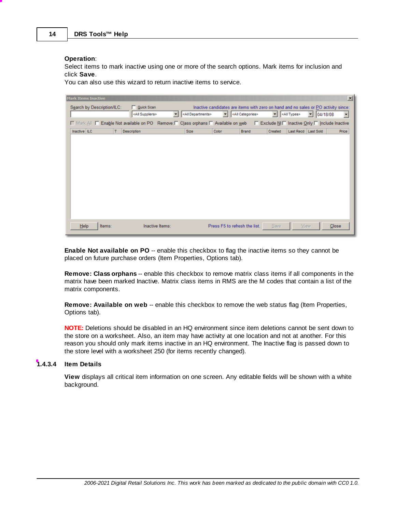#### **Operation**:

Select items to mark inactive using one or more of the search options. Mark items for inclusion and click **Save**.

You can also use this wizard to return inactive items to service.

| $\times$                                                                                                                          |
|-----------------------------------------------------------------------------------------------------------------------------------|
| Inactive candidates are items with zero on hand and no sales or PO activity since:                                                |
| $\overline{\phantom{a}}$<br>04/18/08                                                                                              |
| □ Mark All □ Enable Not available on PO Remove: □ Class orphans □ Available on web □ Exclude NII Inactive Only □ Include Inactive |
| Last Recd Last Sold<br><b>Price</b>                                                                                               |
|                                                                                                                                   |
|                                                                                                                                   |
|                                                                                                                                   |
|                                                                                                                                   |
|                                                                                                                                   |
|                                                                                                                                   |
|                                                                                                                                   |
|                                                                                                                                   |
|                                                                                                                                   |
|                                                                                                                                   |
|                                                                                                                                   |
| Close                                                                                                                             |
|                                                                                                                                   |

**Enable Not available on PO** -- enable this checkbox to flag the inactive items so they cannot be placed on future purchase orders (Item Properties, Options tab).

**Remove: Class orphans** -- enable this checkbox to remove matrix class items if all components in the matrix have been marked Inactive. Matrix class items in RMS are the M codes that contain a list of the matrix components.

**Remove: Available on web** -- enable this checkbox to remove the web status flag (Item Properties, Options tab).

**NOTE:** Deletions should be disabled in an HQ environment since item deletions cannot be sent down to the store on a worksheet. Also, an item may have activity at one location and not at another. For this reason you should only mark items inactive in an HQ environment. The Inactive flag is passed down to the store level with a worksheet 250 (for items recently changed).

#### <span id="page-15-0"></span>**1.4.3.4 Item Details**

**View** displays all critical item information on one screen. Any editable fields will be shown with a white background.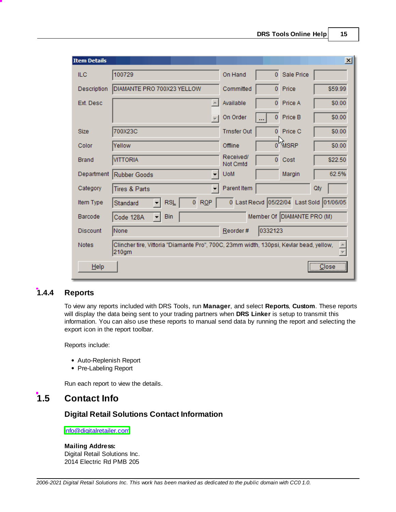| <b>Item Details</b> |                                                                                                 |                       |                |                            | $\vert x \vert$                          |
|---------------------|-------------------------------------------------------------------------------------------------|-----------------------|----------------|----------------------------|------------------------------------------|
| ILC.                | 100729                                                                                          | On Hand               | $\mathbf{0}$   | Sale Price                 |                                          |
| Description         | DIAMANTE PRO 700X23 YELLOW                                                                      | Committed             | $\overline{0}$ | Price                      | \$59.99                                  |
| Ext. Desc.          |                                                                                                 | Available             | $\overline{0}$ | Price A                    | \$0.00                                   |
|                     |                                                                                                 | On Order              | $\mathbf{0}$   | Price B                    | \$0.00                                   |
| <b>Size</b>         | 700X23C                                                                                         | <b>Trnsfer Out</b>    | $\Omega$       | Price C                    | \$0.00                                   |
| Color               | Yellow                                                                                          | Offline               |                | 0 <sup>1</sup> MSRP        | \$0.00                                   |
| <b>Brand</b>        | <b>VITTORIA</b>                                                                                 | Received/<br>Not Cmtd | $\overline{0}$ | Cost                       | \$22.50                                  |
| Department          | Rubber Goods                                                                                    | <b>UoM</b>            |                | Margin                     | 62.5%                                    |
| Category            | <b>Tires &amp; Parts</b>                                                                        | Parent Item           |                |                            | Qty                                      |
| Item Type           | RQP<br>$\overline{0}$<br><b>RSL</b><br>Standard                                                 |                       |                |                            | 0 Last Recvd 05/22/04 Last Sold 01/06/05 |
| Barcode             | <b>Bin</b><br>Code 128A<br>▾╎                                                                   |                       |                | Member Of DIAMANTE PRO (M) |                                          |
| <b>Discount</b>     | None                                                                                            | Reorder#              | 0332123        |                            |                                          |
| <b>Notes</b>        | Clincher tire, Vittoria "Diamante Pro", 700C, 23mm width, 130psi, Kevlar bead, yellow,<br>210gm |                       |                |                            |                                          |
| Help                |                                                                                                 |                       |                |                            | <u></u><br>Close                         |

### <span id="page-16-0"></span>**1.4.4 Reports**

To view any reports included with DRS Tools, run **Manager**, and select **Reports**, **Custom**. These reports will display the data being sent to your trading partners when **DRS Linker** is setup to transmit this information. You can also use these reports to manual send data by running the report and selecting the export icon in the report toolbar.

Reports include:

- Auto-Replenish Report
- Pre-Labeling Report

Run each report to view the details.

## <span id="page-16-1"></span>**1.5 Contact Info**

#### **Digital Retail Solutions Contact Information**

[info@digitalretailer.com](mailto:info@digitalretailer.com)

**Mailing Address:** Digital Retail Solutions Inc. 2014 Electric Rd PMB 205